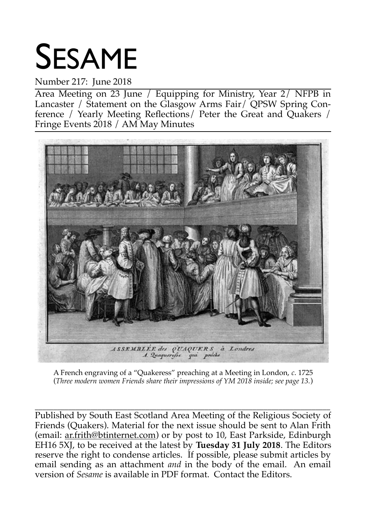# SESAME

#### Number 217: June 2018

Area Meeting on 23 June / Equipping for Ministry, Year 2/ NFPB in Lancaster / Statement on the Glasgow Arms Fair/ QPSW Spring Conference / Yearly Meeting Reflections/ Peter the Great and Quakers / Fringe Events 2018 / AM May Minutes



A French engraving of a "Quakeress" preaching at a Meeting in London, *c*. 1725 (*Three modern women Friends share their impressions of YM 2018 inside; see page 13.*)

\_\_\_\_\_\_\_\_\_\_\_\_\_\_\_\_\_\_\_\_\_\_\_\_\_\_\_\_\_\_\_\_\_\_\_\_\_\_\_\_\_\_\_\_\_\_\_\_\_\_\_\_\_\_\_\_\_\_\_\_\_\_\_\_\_\_\_\_\_\_\_\_\_\_\_\_\_\_\_\_ Published by South East Scotland Area Meeting of the Religious Society of Friends (Quakers). Material for the next issue should be sent to Alan Frith (email: ar.frith@btinternet.com) or by post to 10, East Parkside, Edinburgh EH16 5XJ, to be received at the latest by **Tuesday 31 July 2018**. The Editors reserve the right to condense articles. If possible, please submit articles by email sending as an attachment *and* in the body of the email. An email version of *Sesame* is available in PDF format. Contact the Editors.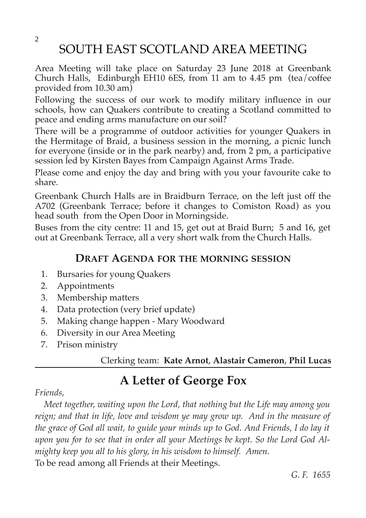SOUTH EAST SCOTLAND AREA MEETING

Area Meeting will take place on Saturday 23 June 2018 at Greenbank Church Halls, Edinburgh EH10 6ES, from 11 am to 4.45 pm (tea/coffee provided from 10.30 am)

Following the success of our work to modify military influence in our schools, how can Quakers contribute to creating a Scotland committed to peace and ending arms manufacture on our soil?

There will be a programme of outdoor activities for younger Quakers in the Hermitage of Braid, a business session in the morning, a picnic lunch for everyone (inside or in the park nearby) and, from 2 pm, a participative session led by Kirsten Bayes from Campaign Against Arms Trade.

Please come and enjoy the day and bring with you your favourite cake to share.

Greenbank Church Halls are in Braidburn Terrace, on the left just off the A702 (Greenbank Terrace; before it changes to Comiston Road) as you head south from the Open Door in Morningside.

Buses from the city centre: 11 and 15, get out at Braid Burn; 5 and 16, get out at Greenbank Terrace, all a very short walk from the Church Halls.

#### **DRAFT AGENDA FOR THE MORNING SESSION**

- 1. Bursaries for young Quakers
- 2. Appointments
- 3. Membership matters
- 4. Data protection (very brief update)
- 5. Making change happen Mary Woodward
- 6. Diversity in our Area Meeting
- 7. Prison ministry

#### Clerking team: **Kate Arnot**, **Alastair Cameron**, **Phil Lucas**

## **A Letter of George Fox**

#### *Friends,*

 *Meet together, waiting upon the Lord, that nothing but the Life may among you reign; and that in life, love and wisdom ye may grow up. And in the measure of the grace of God all wait, to guide your minds up to God. And Friends, I do lay it upon you for to see that in order all your Meetings be kept. So the Lord God Almighty keep you all to his glory, in his wisdom to himself. Amen.* To be read among all Friends at their Meetings.

*G. F. 1655*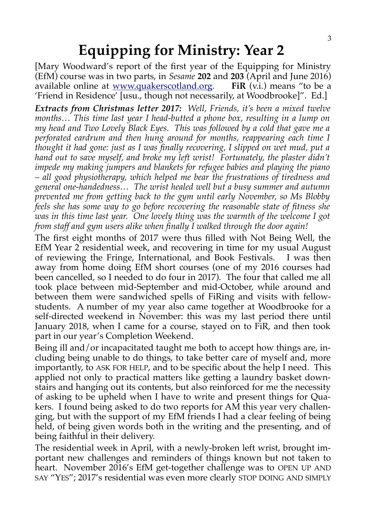## **Equipping for Ministry: Year 2**

[Mary Woodward's report of the first year of the Equipping for Ministry (EfM) course was in two parts, in *Sesame* **202** and **203** (April and June 2016) available online at [www.quakerscotland.org.](http://www.quakerscotland.org/) **FiR** (v.i.) means "to be a 'Friend in Residence' [usu., though not necessarily, at Woodbrooke]". Ed.]

*Extracts from Christmas letter 2017: Well, Friends, it's been a mixed twelve months… This time last year I head-butted a phone box, resulting in a lump on my head and Two Lovely Black Eyes. This was followed by a cold that gave me a perforated eardrum and then hung around for months, reappearing each time I thought it had gone: just as I was finally recovering, I slipped on wet mud, put a hand out to save myself, and broke my left wrist! Fortunately, the plaster didn't impede my making jumpers and blankets for refugee babies and playing the piano – all good physiotherapy, which helped me bear the frustrations of tiredness and general one-handedness… The wrist healed well but a busy summer and autumn prevented me from getting back to the gym until early November, so Ms Blobby feels she has some way to go before recovering the reasonable state of fitness she was in this time last year. One lovely thing was the warmth of the welcome I got from staff and gym users alike when finally I walked through the door again!*

The first eight months of 2017 were thus filled with Not Being Well, the EfM Year 2 residential week, and recovering in time for my usual August of reviewing the Fringe, International, and Book Festivals. I was then away from home doing EfM short courses (one of my 2016 courses had been cancelled, so I needed to do four in 2017). The four that called me all took place between mid-September and mid-October, while around and between them were sandwiched spells of FiRing and visits with fellowstudents. A number of my year also came together at Woodbrooke for a self-directed weekend in November: this was my last period there until January 2018, when I came for a course, stayed on to FiR, and then took part in our year's Completion Weekend.

Being ill and/or incapacitated taught me both to accept how things are, including being unable to do things, to take better care of myself and, more importantly, to ASK FOR HELP, and to be specific about the help I need. This applied not only to practical matters like getting a laundry basket downstairs and hanging out its contents, but also reinforced for me the necessity of asking to be upheld when I have to write and present things for Quakers. I found being asked to do two reports for AM this year very challenging, but with the support of my EfM friends I had a clear feeling of being held, of being given words both in the writing and the presenting, and of being faithful in their delivery.

The residential week in April, with a newly-broken left wrist, brought important new challenges and reminders of things known but not taken to heart. November 2016's EfM get-together challenge was to OPEN UP AND SAY "YES"; 2017's residential was even more clearly STOP DOING AND SIMPLY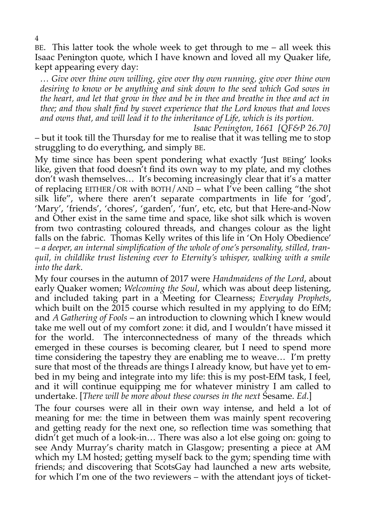BE. This latter took the whole week to get through to me – all week this Isaac Penington quote, which I have known and loved all my Quaker life, kept appearing every day:

*… Give over thine own willing, give over thy own running, give over thine own desiring to know or be anything and sink down to the seed which God sows in the heart, and let that grow in thee and be in thee and breathe in thee and act in thee; and thou shalt find by sweet experience that the Lord knows that and loves and owns that, and will lead it to the inheritance of Life, which is its portion.* 

*Isaac Penington, 1661 [QF&P 26.70]* – but it took till the Thursday for me to realise that it was telling me to stop struggling to do everything, and simply BE.

My time since has been spent pondering what exactly 'Just BEing' looks like, given that food doesn't find its own way to my plate, and my clothes don't wash themselves… It's becoming increasingly clear that it's a matter of replacing EITHER/OR with BOTH/AND – what I've been calling "the shot silk life", where there aren't separate compartments in life for 'god', 'Mary', 'friends', 'chores', 'garden', 'fun', etc, etc, but that Here-and-Now and Other exist in the same time and space, like shot silk which is woven from two contrasting coloured threads, and changes colour as the light falls on the fabric. Thomas Kelly writes of this life in 'On Holy Obedience' *– a deeper, an internal simplification of the whole of one's personality, stilled, tranquil, in childlike trust listening ever to Eternity's whisper, walking with a smile into the dark*.

My four courses in the autumn of 2017 were *Handmaidens of the Lord*, about early Quaker women; *Welcoming the Soul*, which was about deep listening, and included taking part in a Meeting for Clearness; *Everyday Prophets*, which built on the 2015 course which resulted in my applying to do EfM; and *A Gathering of Fools* – an introduction to clowning which I knew would take me well out of my comfort zone: it did, and I wouldn't have missed it for the world. The interconnectedness of many of the threads which emerged in these courses is becoming clearer, but I need to spend more time considering the tapestry they are enabling me to weave… I'm pretty sure that most of the threads are things I already know, but have yet to embed in my being and integrate into my life: this is my post-EfM task, I feel, and it will continue equipping me for whatever ministry I am called to undertake. [*There will be more about these courses in the next* Sesame. *Ed*.]

The four courses were all in their own way intense, and held a lot of meaning for me: the time in between them was mainly spent recovering and getting ready for the next one, so reflection time was something that didn't get much of a look-in… There was also a lot else going on: going to see Andy Murray's charity match in Glasgow; presenting a piece at AM which my LM hosted; getting myself back to the gym; spending time with friends; and discovering that ScotsGay had launched a new arts website, for which I'm one of the two reviewers – with the attendant joys of ticket-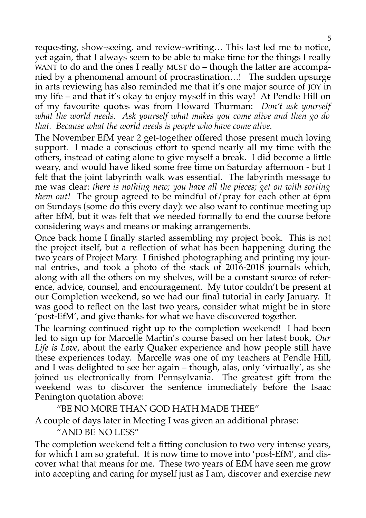requesting, show-seeing, and review-writing… This last led me to notice, yet again, that I always seem to be able to make time for the things I really WANT to do and the ones I really MUST do – though the latter are accompanied by a phenomenal amount of procrastination…! The sudden upsurge in arts reviewing has also reminded me that it's one major source of JOY in my life – and that it's okay to enjoy myself in this way! At Pendle Hill on of my favourite quotes was from Howard Thurman: *Don't ask yourself what the world needs. Ask yourself what makes you come alive and then go do that. Because what the world needs is people who have come alive.*

The November EfM year 2 get-together offered those present much loving support. I made a conscious effort to spend nearly all my time with the others, instead of eating alone to give myself a break. I did become a little weary, and would have liked some free time on Saturday afternoon - but I felt that the joint labyrinth walk was essential. The labyrinth message to me was clear: *there is nothing new; you have all the pieces; get on with sorting them out!* The group agreed to be mindful of/pray for each other at 6pm on Sundays (some do this every day): we also want to continue meeting up after EfM, but it was felt that we needed formally to end the course before considering ways and means or making arrangements.

Once back home I finally started assembling my project book. This is not the project itself, but a reflection of what has been happening during the two years of Project Mary. I finished photographing and printing my journal entries, and took a photo of the stack of 2016-2018 journals which, along with all the others on my shelves, will be a constant source of reference, advice, counsel, and encouragement. My tutor couldn't be present at our Completion weekend, so we had our final tutorial in early January. It was good to reflect on the last two years, consider what might be in store 'post-EfM', and give thanks for what we have discovered together.

The learning continued right up to the completion weekend! I had been led to sign up for Marcelle Martin's course based on her latest book, *Our Life is Love*, about the early Quaker experience and how people still have these experiences today. Marcelle was one of my teachers at Pendle Hill, and I was delighted to see her again – though, alas, only 'virtually', as she joined us electronically from Pennsylvania. The greatest gift from the weekend was to discover the sentence immediately before the Isaac Penington quotation above:

"BE NO MORE THAN GOD HATH MADE THEE"

A couple of days later in Meeting I was given an additional phrase:

"AND BE NO LESS"

The completion weekend felt a fitting conclusion to two very intense years, for which I am so grateful. It is now time to move into 'post-EfM', and discover what that means for me. These two years of EfM have seen me grow into accepting and caring for myself just as I am, discover and exercise new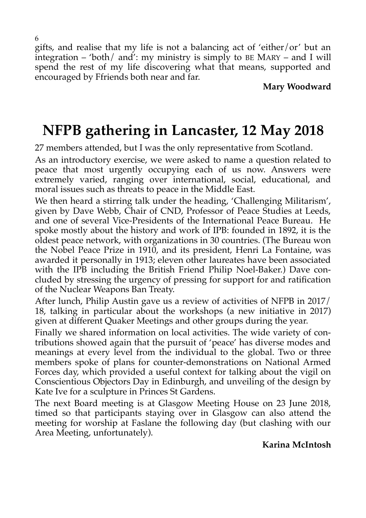gifts, and realise that my life is not a balancing act of 'either/or' but an integration – 'both/ and': my ministry is simply to BE MARY – and I will spend the rest of my life discovering what that means, supported and encouraged by Ffriends both near and far.

**Mary Woodward**

# **NFPB gathering in Lancaster, 12 May 2018**

27 members attended, but I was the only representative from Scotland.

As an introductory exercise, we were asked to name a question related to peace that most urgently occupying each of us now. Answers were extremely varied, ranging over international, social, educational, and moral issues such as threats to peace in the Middle East.

We then heard a stirring talk under the heading, 'Challenging Militarism', given by Dave Webb, Chair of CND, Professor of Peace Studies at Leeds, and one of several Vice-Presidents of the International Peace Bureau. He spoke mostly about the history and work of IPB: founded in 1892, it is the oldest peace network, with organizations in 30 countries. (The Bureau won the Nobel Peace Prize in 1910, and its president, Henri La Fontaine, was awarded it personally in 1913; eleven other laureates have been associated with the IPB including the British Friend Philip Noel-Baker.) Dave concluded by stressing the urgency of pressing for support for and ratification of the Nuclear Weapons Ban Treaty.

After lunch, Philip Austin gave us a review of activities of NFPB in 2017/ 18, talking in particular about the workshops (a new initiative in 2017) given at different Quaker Meetings and other groups during the year.

Finally we shared information on local activities. The wide variety of contributions showed again that the pursuit of 'peace' has diverse modes and meanings at every level from the individual to the global. Two or three members spoke of plans for counter-demonstrations on National Armed Forces day, which provided a useful context for talking about the vigil on Conscientious Objectors Day in Edinburgh, and unveiling of the design by Kate Ive for a sculpture in Princes St Gardens.

The next Board meeting is at Glasgow Meeting House on 23 June 2018, timed so that participants staying over in Glasgow can also attend the meeting for worship at Faslane the following day (but clashing with our Area Meeting, unfortunately).

#### **Karina McIntosh**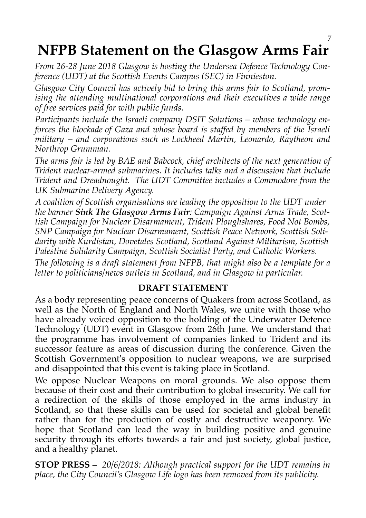# **NFPB Statement on the Glasgow Arms Fair**

*From 26-28 June 2018 Glasgow is hosting the Undersea Defence Technology Conference (UDT) at the Scottish Events Campus (SEC) in Finnieston.*

*Glasgow City Council has actively bid to bring this arms fair to Scotland, promising the attending multinational corporations and their executives a wide range of free services paid for with public funds.*

*Participants include the Israeli company DSIT Solutions – whose technology enforces the blockade of Gaza and whose board is staffed by members of the Israeli military – and corporations such as Lockheed Martin, Leonardo, Raytheon and Northrop Grumman.*

*The arms fair is led by BAE and Babcock, chief architects of the next generation of Trident nuclear-armed submarines. It includes talks and a discussion that include Trident and Dreadnought. The UDT Committee includes a Commodore from the UK Submarine Delivery Agency.*

*A coalition of Scottish organisations are leading the opposition to the UDT under the banner Sink The Glasgow Arms Fair: Campaign Against Arms Trade, Scottish Campaign for Nuclear Disarmament, Trident Ploughshares, Food Not Bombs, SNP Campaign for Nuclear Disarmament, Scottish Peace Network, Scottish Solidarity with Kurdistan, Dovetales Scotland, Scotland Against Militarism, Scottish Palestine Solidarity Campaign, Scottish Socialist Party, and Catholic Workers.*

*The following is a draft statement from NFPB, that might also be a template for a letter to politicians/news outlets in Scotland, and in Glasgow in particular.*

#### **DRAFT STATEMENT**

As a body representing peace concerns of Quakers from across Scotland, as well as the North of England and North Wales, we unite with those who have already voiced opposition to the holding of the Underwater Defence Technology (UDT) event in Glasgow from 26th June. We understand that the programme has involvement of companies linked to Trident and its successor feature as areas of discussion during the conference. Given the Scottish Government's opposition to nuclear weapons, we are surprised and disappointed that this event is taking place in Scotland.

We oppose Nuclear Weapons on moral grounds. We also oppose them because of their cost and their contribution to global insecurity. We call for a redirection of the skills of those employed in the arms industry in Scotland, so that these skills can be used for societal and global benefit rather than for the production of costly and destructive weaponry. We hope that Scotland can lead the way in building positive and genuine security through its efforts towards a fair and just society, global justice, and a healthy planet.

**STOP PRESS –** *20/6/2018: Although practical support for the UDT remains in place, the City Council's Glasgow Life logo has been removed from its publicity.*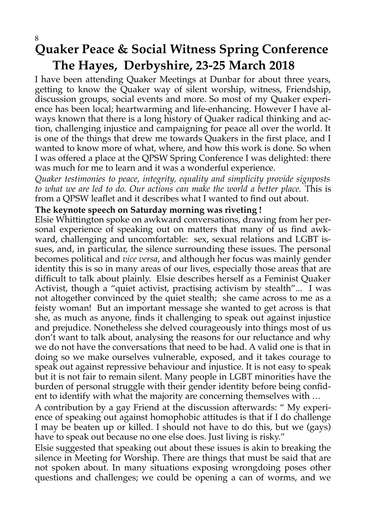#### 8 **Quaker Peace & Social Witness Spring Conference The Hayes, Derbyshire, 23-25 March 2018**

I have been attending Quaker Meetings at Dunbar for about three years, getting to know the Quaker way of silent worship, witness, Friendship, discussion groups, social events and more. So most of my Quaker experience has been local; heartwarming and life-enhancing. However I have always known that there is a long history of Quaker radical thinking and action, challenging injustice and campaigning for peace all over the world. It is one of the things that drew me towards Quakers in the first place, and I wanted to know more of what, where, and how this work is done. So when I was offered a place at the QPSW Spring Conference I was delighted: there was much for me to learn and it was a wonderful experience.

*Quaker testimonies to peace, integrity, equality and simplicity provide signposts to what we are led to do. Our actions can make the world a better place.* This is from a QPSW leaflet and it describes what I wanted to find out about.

#### **The keynote speech on Saturday morning was riveting !**

Elsie Whittington spoke on awkward conversations, drawing from her personal experience of speaking out on matters that many of us find awkward, challenging and uncomfortable: sex, sexual relations and LGBT issues, and, in particular, the silence surrounding these issues. The personal becomes political and *vice versa*, and although her focus was mainly gender identity this is so in many areas of our lives, especially those areas that are difficult to talk about plainly. Elsie describes herself as a Feminist Quaker Activist, though a "quiet activist, practising activism by stealth"... I was not altogether convinced by the quiet stealth; she came across to me as a feisty woman! But an important message she wanted to get across is that she, as much as anyone, finds it challenging to speak out against injustice and prejudice. Nonetheless she delved courageously into things most of us don't want to talk about, analysing the reasons for our reluctance and why we do not have the conversations that need to be had. A valid one is that in doing so we make ourselves vulnerable, exposed, and it takes courage to speak out against repressive behaviour and injustice. It is not easy to speak but it is not fair to remain silent. Many people in LGBT minorities have the burden of personal struggle with their gender identity before being confident to identify with what the majority are concerning themselves with …

A contribution by a gay Friend at the discussion afterwards: " My experience of speaking out against homophobic attitudes is that if I do challenge I may be beaten up or killed. I should not have to do this, but we (gays) have to speak out because no one else does. Just living is risky."

Elsie suggested that speaking out about these issues is akin to breaking the silence in Meeting for Worship. There are things that must be said that are not spoken about. In many situations exposing wrongdoing poses other questions and challenges; we could be opening a can of worms, and we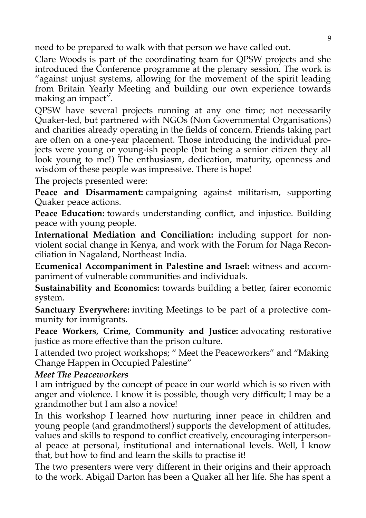need to be prepared to walk with that person we have called out.

Clare Woods is part of the coordinating team for QPSW projects and she introduced the Conference programme at the plenary session. The work is "against unjust systems, allowing for the movement of the spirit leading from Britain Yearly Meeting and building our own experience towards making an impact".

QPSW have several projects running at any one time; not necessarily Quaker-led, but partnered with NGOs (Non Governmental Organisations) and charities already operating in the fields of concern. Friends taking part are often on a one-year placement. Those introducing the individual projects were young or young-ish people (but being a senior citizen they all look young to me!) The enthusiasm, dedication, maturity, openness and wisdom of these people was impressive. There is hope!

The projects presented were:

**Peace and Disarmament:** campaigning against militarism, supporting Quaker peace actions.

**Peace Education:** towards understanding conflict, and injustice. Building peace with young people.

**International Mediation and Conciliation:** including support for nonviolent social change in Kenya, and work with the Forum for Naga Reconciliation in Nagaland, Northeast India.

**Ecumenical Accompaniment in Palestine and Israel:** witness and accompaniment of vulnerable communities and individuals.

**Sustainability and Economics:** towards building a better, fairer economic system.

**Sanctuary Everywhere:** inviting Meetings to be part of a protective community for immigrants.

**Peace Workers, Crime, Community and Justice:** advocating restorative justice as more effective than the prison culture.

I attended two project workshops; " Meet the Peaceworkers" and "Making Change Happen in Occupied Palestine"

#### *Meet The Peaceworkers*

I am intrigued by the concept of peace in our world which is so riven with anger and violence. I know it is possible, though very difficult; I may be a grandmother but I am also a novice!

In this workshop I learned how nurturing inner peace in children and young people (and grandmothers!) supports the development of attitudes, values and skills to respond to conflict creatively, encouraging interpersonal peace at personal, institutional and international levels. Well, I know that, but how to find and learn the skills to practise it!

The two presenters were very different in their origins and their approach to the work. Abigail Darton has been a Quaker all her life. She has spent a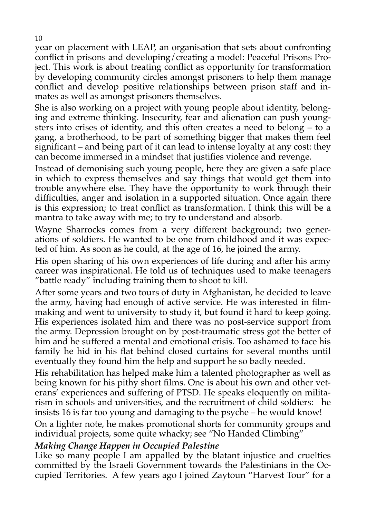year on placement with LEAP, an organisation that sets about confronting conflict in prisons and developing/creating a model: Peaceful Prisons Project. This work is about treating conflict as opportunity for transformation by developing community circles amongst prisoners to help them manage conflict and develop positive relationships between prison staff and inmates as well as amongst prisoners themselves.

She is also working on a project with young people about identity, belonging and extreme thinking. Insecurity, fear and alienation can push youngsters into crises of identity, and this often creates a need to belong – to a gang, a brotherhood, to be part of something bigger that makes them feel significant – and being part of it can lead to intense loyalty at any cost: they can become immersed in a mindset that justifies violence and revenge.

Instead of demonising such young people, here they are given a safe place in which to express themselves and say things that would get them into trouble anywhere else. They have the opportunity to work through their difficulties, anger and isolation in a supported situation. Once again there is this expression; to treat conflict as transformation. I think this will be a mantra to take away with me; to try to understand and absorb.

Wayne Sharrocks comes from a very different background; two generations of soldiers. He wanted to be one from childhood and it was expected of him. As soon as he could, at the age of 16, he joined the army.

His open sharing of his own experiences of life during and after his army career was inspirational. He told us of techniques used to make teenagers "battle ready" including training them to shoot to kill.

After some years and two tours of duty in Afghanistan, he decided to leave the army, having had enough of active service. He was interested in filmmaking and went to university to study it, but found it hard to keep going. His experiences isolated him and there was no post-service support from the army. Depression brought on by post-traumatic stress got the better of him and he suffered a mental and emotional crisis. Too ashamed to face his family he hid in his flat behind closed curtains for several months until eventually they found him the help and support he so badly needed.

His rehabilitation has helped make him a talented photographer as well as being known for his pithy short films. One is about his own and other veterans' experiences and suffering of PTSD. He speaks eloquently on militarism in schools and universities, and the recruitment of child soldiers: he insists 16 is far too young and damaging to the psyche – he would know!

On a lighter note, he makes promotional shorts for community groups and individual projects, some quite whacky; see "No Handed Climbing"

#### *Making Change Happen in Occupied Palestine*

Like so many people I am appalled by the blatant injustice and cruelties committed by the Israeli Government towards the Palestinians in the Occupied Territories. A few years ago I joined Zaytoun "Harvest Tour" for a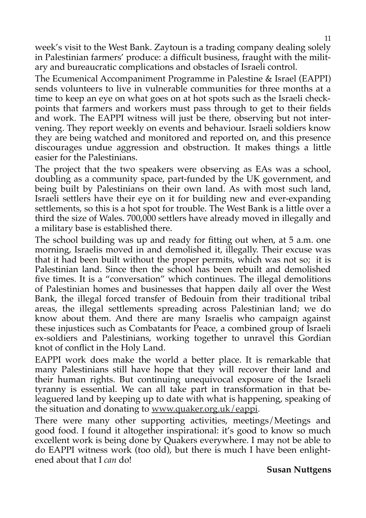week's visit to the West Bank. Zaytoun is a trading company dealing solely in Palestinian farmers' produce: a difficult business, fraught with the military and bureaucratic complications and obstacles of Israeli control.

The Ecumenical Accompaniment Programme in Palestine & Israel (EAPPI) sends volunteers to live in vulnerable communities for three months at a time to keep an eye on what goes on at hot spots such as the Israeli checkpoints that farmers and workers must pass through to get to their fields and work. The EAPPI witness will just be there, observing but not intervening. They report weekly on events and behaviour. Israeli soldiers know they are being watched and monitored and reported on, and this presence discourages undue aggression and obstruction. It makes things a little easier for the Palestinians.

The project that the two speakers were observing as EAs was a school, doubling as a community space, part-funded by the UK government, and being built by Palestinians on their own land. As with most such land, Israeli settlers have their eye on it for building new and ever-expanding settlements, so this is a hot spot for trouble. The West Bank is a little over a third the size of Wales. 700,000 settlers have already moved in illegally and a military base is established there.

The school building was up and ready for fitting out when, at 5 a.m. one morning, Israelis moved in and demolished it, illegally. Their excuse was that it had been built without the proper permits, which was not so; it is Palestinian land. Since then the school has been rebuilt and demolished five times. It is a "conversation" which continues. The illegal demolitions of Palestinian homes and businesses that happen daily all over the West Bank, the illegal forced transfer of Bedouin from their traditional tribal areas, the illegal settlements spreading across Palestinian land; we do know about them. And there are many Israelis who campaign against these injustices such as Combatants for Peace, a combined group of Israeli ex-soldiers and Palestinians, working together to unravel this Gordian knot of conflict in the Holy Land.

EAPPI work does make the world a better place. It is remarkable that many Palestinians still have hope that they will recover their land and their human rights. But continuing unequivocal exposure of the Israeli tyranny is essential. We can all take part in transformation in that beleaguered land by keeping up to date with what is happening, speaking of the situation and donating to [www.quaker.org.uk/eappi.](http://www.quaker.org.uk/eappi)

There were many other supporting activities, meetings/Meetings and good food. I found it altogether inspirational: it's good to know so much excellent work is being done by Quakers everywhere. I may not be able to do EAPPI witness work (too old), but there is much I have been enlightened about that I *can* do!

#### **Susan Nuttgens**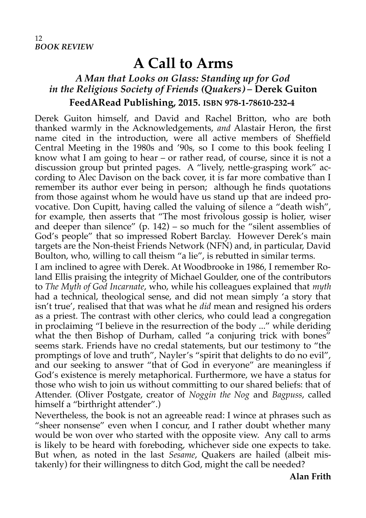## **A Call to Arms**

## *A Man that Looks on Glass: Standing up for God in the Religious Society of Friends (Quakers) –* **Derek Guiton**

**FeedARead Publishing, 2015. ISBN 978-1-78610-232-4** 

Derek Guiton himself, and David and Rachel Britton, who are both thanked warmly in the Acknowledgements, *and* Alastair Heron, the first name cited in the introduction, were all active members of Sheffield Central Meeting in the 1980s and '90s, so I come to this book feeling I know what I am going to hear – or rather read, of course, since it is not a discussion group but printed pages. A "lively, nettle-grasping work" according to Alec Davison on the back cover, it is far more combative than I remember its author ever being in person; although he finds quotations from those against whom he would have us stand up that are indeed provocative. Don Cupitt, having called the valuing of silence a "death wish", for example, then asserts that "The most frivolous gossip is holier, wiser and deeper than silence" (p.  $142$ ) – so much for the "silent assemblies of God's people" that so impressed Robert Barclay. However Derek's main targets are the Non-theist Friends Network (NFN) and, in particular, David Boulton, who, willing to call theism "a lie", is rebutted in similar terms.

I am inclined to agree with Derek. At Woodbrooke in 1986, I remember Roland Ellis praising the integrity of Michael Goulder, one of the contributors to *The Myth of God Incarnate*, who, while his colleagues explained that *myth* had a technical, theological sense, and did not mean simply 'a story that isn't true', realised that that was what he *did* mean and resigned his orders as a priest. The contrast with other clerics, who could lead a congregation in proclaiming "I believe in the resurrection of the body ..." while deriding what the then Bishop of Durham, called "a conjuring trick with bones" seems stark. Friends have no credal statements, but our testimony to "the promptings of love and truth", Nayler's "spirit that delights to do no evil", and our seeking to answer "that of God in everyone" are meaningless if God's existence is merely metaphorical. Furthermore, we have a status for those who wish to join us without committing to our shared beliefs: that of Attender. (Oliver Postgate, creator of *Noggin the Nog* and *Bagpuss*, called himself a "birthright attender".)

Nevertheless, the book is not an agreeable read: I wince at phrases such as "sheer nonsense" even when I concur, and I rather doubt whether many would be won over who started with the opposite view. Any call to arms is likely to be heard with foreboding, whichever side one expects to take. But when, as noted in the last *Sesame*, Quakers are hailed (albeit mistakenly) for their willingness to ditch God, might the call be needed?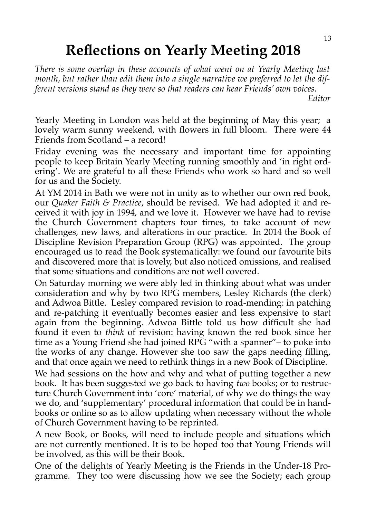## **Reflections on Yearly Meeting 2018**

*There is some overlap in these accounts of what went on at Yearly Meeting last month, but rather than edit them into a single narrative we preferred to let the different versions stand as they were so that readers can hear Friends' own voices.* 

*Editor*

Yearly Meeting in London was held at the beginning of May this year; a lovely warm sunny weekend, with flowers in full bloom. There were 44 Friends from Scotland – a record!

Friday evening was the necessary and important time for appointing people to keep Britain Yearly Meeting running smoothly and 'in right ordering'. We are grateful to all these Friends who work so hard and so well for us and the Society.

At YM 2014 in Bath we were not in unity as to whether our own red book, our *Quaker Faith & Practice*, should be revised. We had adopted it and received it with joy in 1994, and we love it. However we have had to revise the Church Government chapters four times, to take account of new challenges, new laws, and alterations in our practice. In 2014 the Book of Discipline Revision Preparation Group (RPG) was appointed. The group encouraged us to read the Book systematically: we found our favourite bits and discovered more that is lovely, but also noticed omissions, and realised that some situations and conditions are not well covered.

On Saturday morning we were ably led in thinking about what was under consideration and why by two RPG members, Lesley Richards (the clerk) and Adwoa Bittle. Lesley compared revision to road-mending: in patching and re-patching it eventually becomes easier and less expensive to start again from the beginning. Adwoa Bittle told us how difficult she had found it even to *think* of revision: having known the red book since her time as a Young Friend she had joined RPG "with a spanner"– to poke into the works of any change. However she too saw the gaps needing filling, and that once again we need to rethink things in a new Book of Discipline.

We had sessions on the how and why and what of putting together a new book. It has been suggested we go back to having *two* books; or to restructure Church Government into 'core' material, of why we do things the way we do, and 'supplementary' procedural information that could be in handbooks or online so as to allow updating when necessary without the whole of Church Government having to be reprinted.

A new Book, or Books, will need to include people and situations which are not currently mentioned. It is to be hoped too that Young Friends will be involved, as this will be their Book.

One of the delights of Yearly Meeting is the Friends in the Under-18 Programme. They too were discussing how we see the Society; each group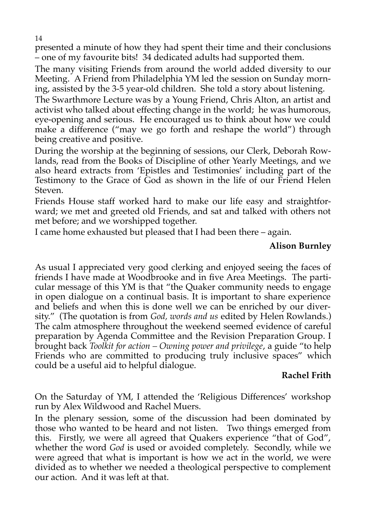presented a minute of how they had spent their time and their conclusions – one of my favourite bits! 34 dedicated adults had supported them.

The many visiting Friends from around the world added diversity to our Meeting. A Friend from Philadelphia YM led the session on Sunday morning, assisted by the 3-5 year-old children. She told a story about listening.

The Swarthmore Lecture was by a Young Friend, Chris Alton, an artist and activist who talked about effecting change in the world; he was humorous, eye-opening and serious. He encouraged us to think about how we could make a difference ("may we go forth and reshape the world") through being creative and positive.

\ During the worship at the beginning of sessions, our Clerk, Deborah Rowlands, read from the Books of Discipline of other Yearly Meetings, and we also heard extracts from 'Epistles and Testimonies' including part of the Testimony to the Grace of God as shown in the life of our Friend Helen Steven.

Friends House staff worked hard to make our life easy and straightforward; we met and greeted old Friends, and sat and talked with others not met before; and we worshipped together.

I came home exhausted but pleased that I had been there – again.

#### **Alison Burnley**

As usual I appreciated very good clerking and enjoyed seeing the faces of friends I have made at Woodbrooke and in five Area Meetings. The particular message of this YM is that "the Quaker community needs to engage in open dialogue on a continual basis. It is important to share experience and beliefs and when this is done well we can be enriched by our diversity." (The quotation is from *God, words and us* edited by Helen Rowlands.) The calm atmosphere throughout the weekend seemed evidence of careful preparation by Agenda Committee and the Revision Preparation Group. I brought back *Toolkit for action – Owning power and privilege*, a guide "to help Friends who are committed to producing truly inclusive spaces" which could be a useful aid to helpful dialogue.

#### **Rachel Frith**

On the Saturday of YM, I attended the 'Religious Differences' workshop run by Alex Wildwood and Rachel Muers.

In the plenary session, some of the discussion had been dominated by those who wanted to be heard and not listen. Two things emerged from this. Firstly, we were all agreed that Quakers experience "that of God", whether the word *God* is used or avoided completely. Secondly, while we were agreed that what is important is how we act in the world, we were divided as to whether we needed a theological perspective to complement our action. And it was left at that.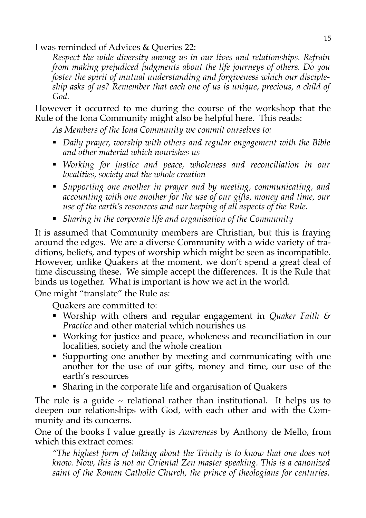I was reminded of Advices & Queries 22:

*Respect the wide diversity among us in our lives and relationships. Refrain from making prejudiced judgments about the life journeys of others. Do you foster the spirit of mutual understanding and forgiveness which our discipleship asks of us? Remember that each one of us is unique, precious, a child of God.*

However it occurred to me during the course of the workshop that the Rule of the Iona Community might also be helpful here. This reads:

*As Members of the Iona Community we commit ourselves to:*

- *Daily prayer, worship with others and regular engagement with the Bible and other material which nourishes us*
- *Working for justice and peace, wholeness and reconciliation in our localities, society and the whole creation*
- *Supporting one another in prayer and by meeting, communicating, and accounting with one another for the use of our gifts, money and time, our use of the earth's resources and our keeping of all aspects of the Rule.*
- *Sharing in the corporate life and organisation of the Community*

It is assumed that Community members are Christian, but this is fraying around the edges. We are a diverse Community with a wide variety of traditions, beliefs, and types of worship which might be seen as incompatible. However, unlike Quakers at the moment, we don't spend a great deal of time discussing these. We simple accept the differences. It is the Rule that binds us together. What is important is how we act in the world.

One might "translate" the Rule as:

Quakers are committed to:

- Worship with others and regular engagement in *Quaker Faith & Practice* and other material which nourishes us
- Working for justice and peace, wholeness and reconciliation in our localities, society and the whole creation
- Supporting one another by meeting and communicating with one another for the use of our gifts, money and time, our use of the earth's resources
- Sharing in the corporate life and organisation of Quakers

The rule is a guide  $\sim$  relational rather than institutional. It helps us to deepen our relationships with God, with each other and with the Community and its concerns.

One of the books I value greatly is *Awareness* by Anthony de Mello, from which this extract comes:

*"The highest form of talking about the Trinity is to know that one does not know. Now, this is not an Oriental Zen master speaking. This is a canonized saint of the Roman Catholic Church, the prince of theologians for centuries.*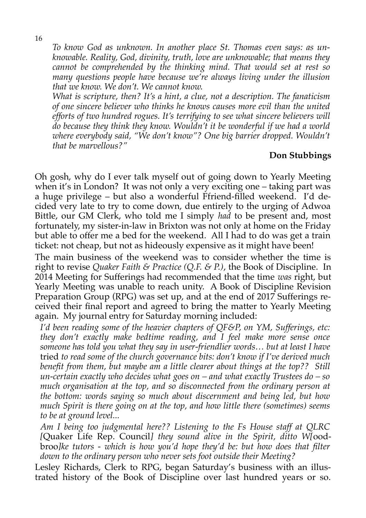*To know God as unknown. In another place St. Thomas even says: as unknowable. Reality, God, divinity, truth, love are unknowable; that means they cannot be comprehended by the thinking mind. That would set at rest so many questions people have because we're always living under the illusion that we know. We don't. We cannot know.* 

*What is scripture, then? It's a hint, a clue, not a description. The fanaticism of one sincere believer who thinks he knows causes more evil than the united efforts of two hundred rogues. It's terrifying to see what sincere believers will do because they think they know. Wouldn't it be wonderful if we had a world where everybody said, "We don't know"? One big barrier dropped. Wouldn't that be marvellous?"*

#### **Don Stubbings**

Oh gosh, why do I ever talk myself out of going down to Yearly Meeting when it's in London? It was not only a very exciting one – taking part was a huge privilege – but also a wonderful Ffriend-filled weekend. I'd decided very late to try to come down, due entirely to the urging of Adwoa Bittle, our GM Clerk, who told me I simply *had* to be present and, most fortunately, my sister-in-law in Brixton was not only at home on the Friday but able to offer me a bed for the weekend. All I had to do was get a train ticket: not cheap, but not as hideously expensive as it might have been!

The main business of the weekend was to consider whether the time is right to revise *Quaker Faith & Practice (Q.F. & P.)*, the Book of Discipline. In 2014 Meeting for Sufferings had recommended that the time *was* right, but Yearly Meeting was unable to reach unity. A Book of Discipline Revision Preparation Group (RPG) was set up, and at the end of 2017 Sufferings received their final report and agreed to bring the matter to Yearly Meeting again. My journal entry for Saturday morning included:

*I'd been reading some of the heavier chapters of QF&P, on YM, Sufferings, etc: they don't exactly make bedtime reading, and I feel make more sense once someone has told you what they say in user-friendlier words… but at least I have* tried *to read some of the church governance bits: don't know if I've derived much benefit from them, but maybe am a little clearer about things at the top?? Still un-certain exactly who decides what goes on – and what exactly Trustees do – so much organisation at the top, and so disconnected from the ordinary person at the bottom: words saying so much about discernment and being led, but how much Spirit is there going on at the top, and how little there (sometimes) seems to be at ground level...*

*Am I being too judgmental here?? Listening to the Fs House staff at QLRC [*Quaker Life Rep. Council*] they sound alive in the Spirit, ditto W[*oodbroo*]ke tutors - which is how you'd hope they'd be: but how does that filter down to the ordinary person who never sets foot outside their Meeting?* 

Lesley Richards, Clerk to RPG, began Saturday's business with an illustrated history of the Book of Discipline over last hundred years or so.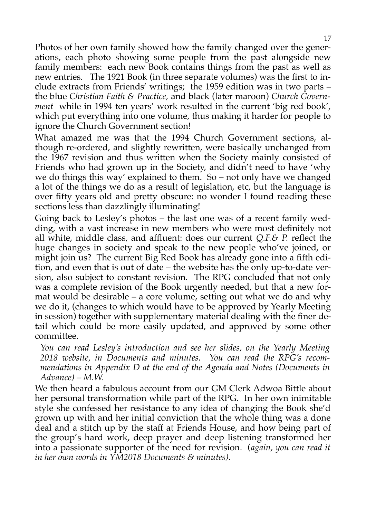Photos of her own family showed how the family changed over the generations, each photo showing some people from the past alongside new family members: each new Book contains things from the past as well as new entries. The 1921 Book (in three separate volumes) was the first to include extracts from Friends' writings; the 1959 edition was in two parts – the blue *Christian Faith & Practice,* and black (later maroon) *Church Government* while in 1994 ten years' work resulted in the current 'big red book', which put everything into one volume, thus making it harder for people to ignore the Church Government section!

What amazed me was that the 1994 Church Government sections, although re-ordered, and slightly rewritten, were basically unchanged from the 1967 revision and thus written when the Society mainly consisted of Friends who had grown up in the Society, and didn't need to have 'why we do things this way' explained to them. So – not only have we changed a lot of the things we do as a result of legislation, etc, but the language is over fifty years old and pretty obscure: no wonder I found reading these sections less than dazzlingly illuminating!

Going back to Lesley's photos – the last one was of a recent family wedding, with a vast increase in new members who were most definitely not all white, middle class, and affluent: does our current *Q.F.& P.* reflect the huge changes in society and speak to the new people who've joined, or might join us? The current Big Red Book has already gone into a fifth edition, and even that is out of date – the website has the only up-to-date version, also subject to constant revision. The RPG concluded that not only was a complete revision of the Book urgently needed, but that a new format would be desirable – a core volume, setting out what we do and why we do it, (changes to which would have to be approved by Yearly Meeting in session) together with supplementary material dealing with the finer detail which could be more easily updated, and approved by some other committee.

*You can read Lesley's introduction and see her slides, on the Yearly Meeting 2018 website, in Documents and minutes. You can read the RPG's recommendations in Appendix D at the end of the Agenda and Notes (Documents in Advance) – M.W.* 

We then heard a fabulous account from our GM Clerk Adwoa Bittle about her personal transformation while part of the RPG. In her own inimitable style she confessed her resistance to any idea of changing the Book she'd grown up with and her initial conviction that the whole thing was a done deal and a stitch up by the staff at Friends House, and how being part of the group's hard work, deep prayer and deep listening transformed her into a passionate supporter of the need for revision. (*again, you can read it in her own words in YM2018 Documents & minutes).*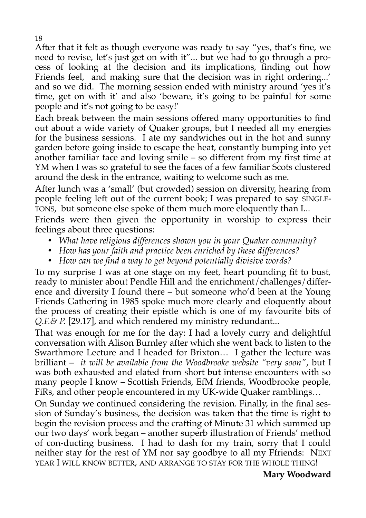After that it felt as though everyone was ready to say "yes, that's fine, we need to revise, let's just get on with it"... but we had to go through a process of looking at the decision and its implications, finding out how Friends feel, and making sure that the decision was in right ordering...' and so we did. The morning session ended with ministry around 'yes it's time, get on with it' and also 'beware, it's going to be painful for some people and it's not going to be easy!'

Each break between the main sessions offered many opportunities to find out about a wide variety of Quaker groups, but I needed all my energies for the business sessions. I ate my sandwiches out in the hot and sunny garden before going inside to escape the heat, constantly bumping into yet another familiar face and loving smile – so different from my first time at YM when I was so grateful to see the faces of a few familiar Scots clustered around the desk in the entrance, waiting to welcome such as me.

After lunch was a 'small' (but crowded) session on diversity, hearing from people feeling left out of the current book; I was prepared to say SINGLE-TONS, but someone else spoke of them much more eloquently than I...

Friends were then given the opportunity in worship to express their feelings about three questions:

- *What have religious differences shown you in your Quaker community?*
- *How has your faith and practice been enriched by these differences?*
- *How can we find a way to get beyond potentially divisive words?*

To my surprise I was at one stage on my feet, heart pounding fit to bust, ready to minister about Pendle Hill and the enrichment/challenges/difference and diversity I found there – but someone who'd been at the Young Friends Gathering in 1985 spoke much more clearly and eloquently about the process of creating their epistle which is one of my favourite bits of *Q.F.& P.* [29.17], and which rendered my ministry redundant...

That was enough for me for the day: I had a lovely curry and delightful conversation with Alison Burnley after which she went back to listen to the Swarthmore Lecture and I headed for Brixton… I gather the lecture was brilliant – *it will be available from the Woodbrooke website "very soon"*, but I was both exhausted and elated from short but intense encounters with so many people I know – Scottish Friends, EfM friends, Woodbrooke people, FiRs, and other people encountered in my UK-wide Quaker ramblings…

On Sunday we continued considering the revision. Finally, in the final session of Sunday's business, the decision was taken that the time is right to begin the revision process and the crafting of Minute 31 which summed up our two days' work began – another superb illustration of Friends' method of con-ducting business. I had to dash for my train, sorry that I could neither stay for the rest of YM nor say goodbye to all my Ffriends: NEXT YEAR I WILL KNOW BETTER, AND ARRANGE TO STAY FOR THE WHOLE THING!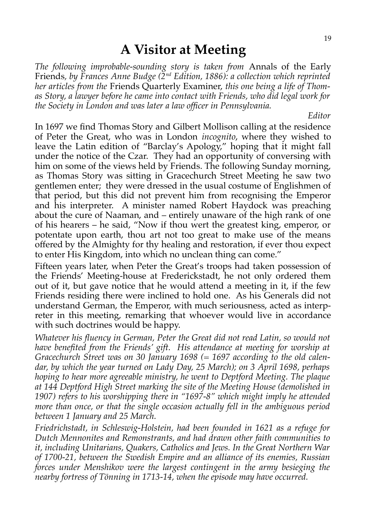## **A Visitor at Meeting**

*The following improbable-sounding story is taken from* Annals of the Early Friends*, by Frances Anne Budge (2nd Edition, 1886): a collection which reprinted her articles from the* Friends Quarterly Examiner, *this one being a life of Thomas Story, a lawyer before he came into contact with Friends, who did legal work for the Society in London and was later a law officer in Pennsylvania.*

*Editor*

In 1697 we find Thomas Story and Gilbert Mollison calling at the residence of Peter the Great, who was in London *incognito*, where they wished to leave the Latin edition of "Barclay's Apology," hoping that it might fall under the notice of the Czar. They had an opportunity of conversing with him on some of the views held by Friends. The following Sunday morning, as Thomas Story was sitting in Gracechurch Street Meeting he saw two gentlemen enter; they were dressed in the usual costume of Englishmen of that period, but this did not prevent him from recognising the Emperor and his interpreter. A minister named Robert Haydock was preaching about the cure of Naaman, and – entirely unaware of the high rank of one of his hearers – he said, "Now if thou wert the greatest king, emperor, or potentate upon earth, thou art not too great to make use of the means offered by the Almighty for thy healing and restoration, if ever thou expect to enter His Kingdom, into which no unclean thing can come."

Fifteen years later, when Peter the Great's troops had taken possession of the Friends' Meeting-house at Frederickstadt, he not only ordered them out of it, but gave notice that he would attend a meeting in it, if the few Friends residing there were inclined to hold one. As his Generals did not understand German, the Emperor, with much seriousness, acted as interpreter in this meeting, remarking that whoever would live in accordance with such doctrines would be happy.

*Whatever his fluency in German, Peter the Great did not read Latin, so would not have benefited from the Friends' gift. His attendance at meeting for worship at Gracechurch Street was on 30 January 1698 (= 1697 according to the old calendar, by which the year turned on Lady Day, 25 March); on 3 April 1698, perhaps hoping to hear more agreeable ministry, he went to Deptford Meeting. The plaque at 144 Deptford High Street marking the site of the Meeting House (demolished in 1907) refers to his worshipping there in "1697-8" which might imply he attended more than once, or that the single occasion actually fell in the ambiguous period between 1 January and 25 March.* 

*Friedrichstadt, in Schleswig-Holstein, had been founded in 1621 as a refuge for Dutch Mennonites and Remonstrants, and had drawn other faith communities to it, including Unitarians, Quakers, Catholics and Jews. In the Great Northern War of 1700-21, between the Swedish Empire and an alliance of its enemies, Russian forces under Menshikov were the largest contingent in the army besieging the nearby fortress of Tönning in 1713-14, when the episode may have occurred.*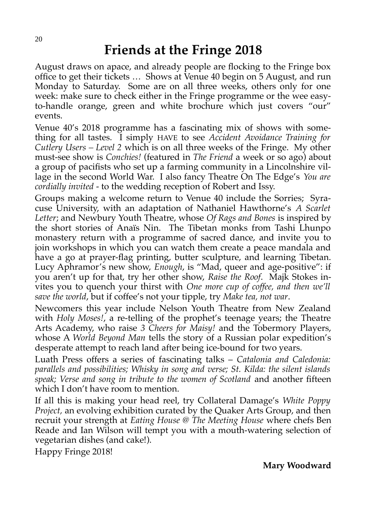## **Friends at the Fringe 2018**

August draws on apace, and already people are flocking to the Fringe box office to get their tickets … Shows at Venue 40 begin on 5 August, and run Monday to Saturday. Some are on all three weeks, others only for one week: make sure to check either in the Fringe programme or the wee easyto-handle orange, green and white brochure which just covers "our" events.

Venue 40's 2018 programme has a fascinating mix of shows with something for all tastes. I simply HAVE to see *Accident Avoidance Training for Cutlery Users – Level 2* which is on all three weeks of the Fringe. My other must-see show is *Conchies!* (featured in *The Friend* a week or so ago) about a group of pacifists who set up a farming community in a Lincolnshire village in the second World War. I also fancy Theatre On The Edge's *You are cordially invited* - to the wedding reception of Robert and Issy.

Groups making a welcome return to Venue 40 include the Sorries; Syracuse University, with an adaptation of Nathaniel Hawthorne's *A Scarlet Letter*; and Newbury Youth Theatre, whose *Of Rags and Bones* is inspired by the short stories of Anaïs Nin. The Tibetan monks from Tashi Lhunpo monastery return with a programme of sacred dance, and invite you to join workshops in which you can watch them create a peace mandala and have a go at prayer-flag printing, butter sculpture, and learning Tibetan. Lucy Aphramor's new show, *Enough*, is "Mad, queer and age-positive": if you aren't up for that, try her other show, *Raise the Roof*. Majk Stokes invites you to quench your thirst with *One more cup of coffee, and then we'll save the world*, but if coffee's not your tipple, try *Make tea, not war*.

Newcomers this year include Nelson Youth Theatre from New Zealand with *Holy Moses!*, a re-telling of the prophet's teenage years; the Theatre Arts Academy, who raise *3 Cheers for Maisy!* and the Tobermory Players, whose A *World Beyond Man* tells the story of a Russian polar expedition's desperate attempt to reach land after being ice-bound for two years.

Luath Press offers a series of fascinating talks – *Catalonia and Caledonia: parallels and possibilities; Whisky in song and verse; St. Kilda: the silent islands speak; Verse and song in tribute to the women of Scotland* and another fifteen which I don't have room to mention.

If all this is making your head reel, try Collateral Damage's *White Poppy Project,* an evolving exhibition curated by the Quaker Arts Group, and then recruit your strength at *Eating House @ The Meeting House* where chefs Ben Reade and Ian Wilson will tempt you with a mouth-watering selection of vegetarian dishes (and cake!).

Happy Fringe 2018!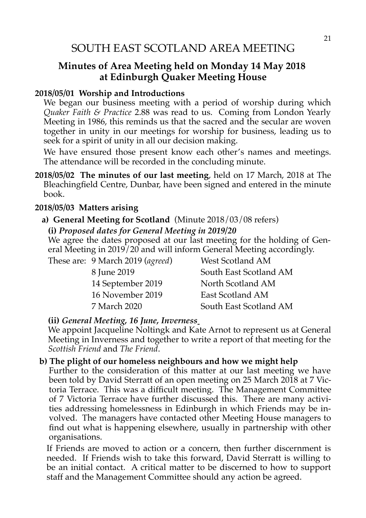#### **Minutes of Area Meeting held on Monday 14 May 2018 at Edinburgh Quaker Meeting House**

#### **2018/05/01 Worship and Introductions**

We began our business meeting with a period of worship during which *Quaker Faith & Practice* 2.88 was read to us. Coming from London Yearly Meeting in 1986, this reminds us that the sacred and the secular are woven together in unity in our meetings for worship for business, leading us to seek for a spirit of unity in all our decision making.

We have ensured those present know each other's names and meetings. The attendance will be recorded in the concluding minute.

**2018/05/02 The minutes of our last meeting**, held on 17 March, 2018 at The Bleachingfield Centre, Dunbar, have been signed and entered in the minute book.

#### **2018/05/03 Matters arising**

#### **a) General Meeting for Scotland** (Minute 2018/03/08 refers) **(i)** *Proposed dates for General Meeting in 2019/20*

We agree the dates proposed at our last meeting for the holding of General Meeting in 2019/20 and will inform General Meeting accordingly.

These are: 9 March 2019 (*agreed*) West Scotland AM 8 June 2019 South East Scotland AM 14 September 2019 North Scotland AM 16 November 2019 East Scotland AM 7 March 2020 South East Scotland AM

#### **(ii)** *General Meeting, 16 June, Inverness*

We appoint Jacqueline Noltingk and Kate Arnot to represent us at General Meeting in Inverness and together to write a report of that meeting for the *Scottish Friend* and *The Friend*.

#### **b) The plight of our homeless neighbours and how we might help**

Further to the consideration of this matter at our last meeting we have been told by David Sterratt of an open meeting on 25 March 2018 at 7 Victoria Terrace. This was a difficult meeting. The Management Committee of 7 Victoria Terrace have further discussed this. There are many activities addressing homelessness in Edinburgh in which Friends may be involved. The managers have contacted other Meeting House managers to find out what is happening elsewhere, usually in partnership with other organisations.

If Friends are moved to action or a concern, then further discernment is needed. If Friends wish to take this forward, David Sterratt is willing to be an initial contact. A critical matter to be discerned to how to support staff and the Management Committee should any action be agreed.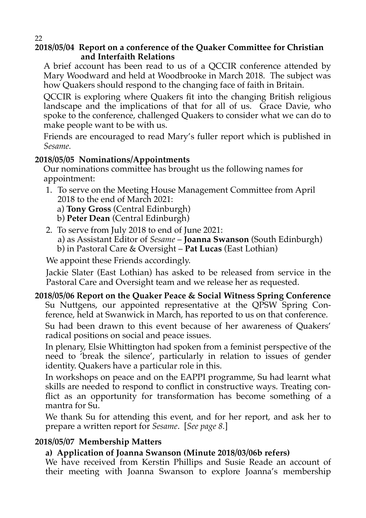#### **2018/05/04 Report on a conference of the Quaker Committee for Christian and Interfaith Relations**

A brief account has been read to us of a QCCIR conference attended by Mary Woodward and held at Woodbrooke in March 2018. The subject was how Quakers should respond to the changing face of faith in Britain.

QCCIR is exploring where Quakers fit into the changing British religious landscape and the implications of that for all of us. Grace Davie, who spoke to the conference, challenged Quakers to consider what we can do to make people want to be with us.

Friends are encouraged to read Mary's fuller report which is published in *Sesame.*

#### **2018/05/05 Nominations/Appointments**

Our nominations committee has brought us the following names for appointment:

 1. To serve on the Meeting House Management Committee from April 2018 to the end of March 2021:

a) **Tony Gross** (Central Edinburgh)

- b) **Peter Dean** (Central Edinburgh)
- 2. To serve from July 2018 to end of June 2021:
	- a) as Assistant Editor of *Sesame* **Joanna Swanson** (South Edinburgh)
	- b) in Pastoral Care & Oversight **Pat Lucas** (East Lothian)

We appoint these Friends accordingly.

Jackie Slater (East Lothian) has asked to be released from service in the Pastoral Care and Oversight team and we release her as requested.

#### **2018/05/06 Report on the Quaker Peace & Social Witness Spring Conference**

Su Nuttgens, our appointed representative at the QPSW Spring Conference, held at Swanwick in March, has reported to us on that conference.

Su had been drawn to this event because of her awareness of Quakers' radical positions on social and peace issues.

In plenary, Elsie Whittington had spoken from a feminist perspective of the need to 'break the silence', particularly in relation to issues of gender identity. Quakers have a particular role in this.

In workshops on peace and on the EAPPI programme, Su had learnt what skills are needed to respond to conflict in constructive ways. Treating conflict as an opportunity for transformation has become something of a mantra for Su.

We thank Su for attending this event, and for her report, and ask her to prepare a written report for *Sesame*. [*See page 8.*]

#### **2018/05/07 Membership Matters**

#### **a) Application of Joanna Swanson (Minute 2018/03/06b refers)**

We have received from Kerstin Phillips and Susie Reade an account of their meeting with Joanna Swanson to explore Joanna's membership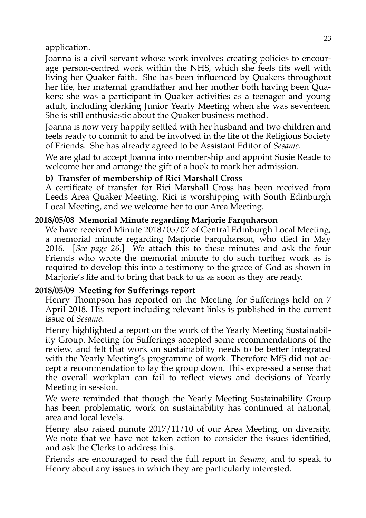application.

Joanna is a civil servant whose work involves creating policies to encourage person-centred work within the NHS, which she feels fits well with living her Quaker faith. She has been influenced by Quakers throughout her life, her maternal grandfather and her mother both having been Quakers; she was a participant in Quaker activities as a teenager and young adult, including clerking Junior Yearly Meeting when she was seventeen. She is still enthusiastic about the Quaker business method.

Joanna is now very happily settled with her husband and two children and feels ready to commit to and be involved in the life of the Religious Society of Friends. She has already agreed to be Assistant Editor of *Sesame*.

We are glad to accept Joanna into membership and appoint Susie Reade to welcome her and arrange the gift of a book to mark her admission.

#### **b) Transfer of membership of Rici Marshall Cross**

A certificate of transfer for Rici Marshall Cross has been received from Leeds Area Quaker Meeting. Rici is worshipping with South Edinburgh Local Meeting, and we welcome her to our Area Meeting.

#### **2018/05/08 Memorial Minute regarding Marjorie Farquharson**

We have received Minute 2018/05/07 of Central Edinburgh Local Meeting, a memorial minute regarding Marjorie Farquharson, who died in May 2016. [*See page 26.*] We attach this to these minutes and ask the four Friends who wrote the memorial minute to do such further work as is required to develop this into a testimony to the grace of God as shown in Marjorie's life and to bring that back to us as soon as they are ready.

#### **2018/05/09 Meeting for Sufferings report**

Henry Thompson has reported on the Meeting for Sufferings held on 7 April 2018. His report including relevant links is published in the current issue of *Sesame*.

Henry highlighted a report on the work of the Yearly Meeting Sustainability Group. Meeting for Sufferings accepted some recommendations of the review, and felt that work on sustainability needs to be better integrated with the Yearly Meeting's programme of work. Therefore MfS did not accept a recommendation to lay the group down. This expressed a sense that the overall workplan can fail to reflect views and decisions of Yearly Meeting in session.

We were reminded that though the Yearly Meeting Sustainability Group has been problematic, work on sustainability has continued at national, area and local levels.

Henry also raised minute 2017/11/10 of our Area Meeting, on diversity. We note that we have not taken action to consider the issues identified, and ask the Clerks to address this.

Friends are encouraged to read the full report in *Sesame*, and to speak to Henry about any issues in which they are particularly interested.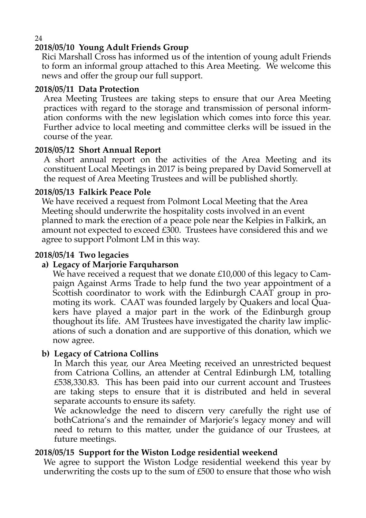#### **2018/05/10 Young Adult Friends Group**

Rici Marshall Cross has informed us of the intention of young adult Friends to form an informal group attached to this Area Meeting. We welcome this news and offer the group our full support.

#### **2018/05/11 Data Protection**

Area Meeting Trustees are taking steps to ensure that our Area Meeting practices with regard to the storage and transmission of personal information conforms with the new legislation which comes into force this year. Further advice to local meeting and committee clerks will be issued in the course of the year.

#### **2018/05/12 Short Annual Report**

A short annual report on the activities of the Area Meeting and its constituent Local Meetings in 2017 is being prepared by David Somervell at the request of Area Meeting Trustees and will be published shortly.

#### **2018/05/13 Falkirk Peace Pole**

We have received a request from Polmont Local Meeting that the Area Meeting should underwrite the hospitality costs involved in an event planned to mark the erection of a peace pole near the Kelpies in Falkirk, an amount not expected to exceed £300. Trustees have considered this and we agree to support Polmont LM in this way.

#### **2018/05/14 Two legacies**

#### **a) Legacy of Marjorie Farquharson**

We have received a request that we donate £10,000 of this legacy to Campaign Against Arms Trade to help fund the two year appointment of a Scottish coordinator to work with the Edinburgh CAAT group in promoting its work. CAAT was founded largely by Quakers and local Quakers have played a major part in the work of the Edinburgh group thoughout its life. AM Trustees have investigated the charity law implications of such a donation and are supportive of this donation, which we now agree.

#### **b) Legacy of Catriona Collins**

In March this year, our Area Meeting received an unrestricted bequest from Catriona Collins, an attender at Central Edinburgh LM, totalling £538,330.83. This has been paid into our current account and Trustees are taking steps to ensure that it is distributed and held in several separate accounts to ensure its safety.

We acknowledge the need to discern very carefully the right use of bothCatriona's and the remainder of Marjorie's legacy money and will need to return to this matter, under the guidance of our Trustees, at future meetings.

#### **2018/05/15 Support for the Wiston Lodge residential weekend**

We agree to support the Wiston Lodge residential weekend this year by underwriting the costs up to the sum of £500 to ensure that those who wish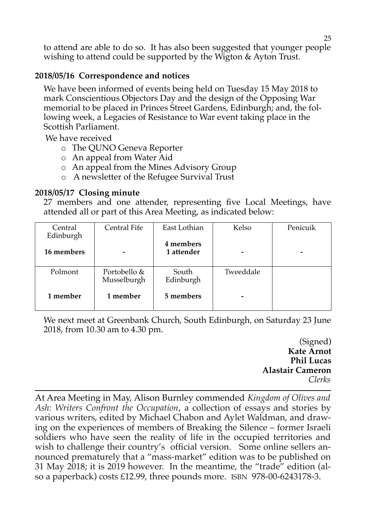to attend are able to do so. It has also been suggested that younger people wishing to attend could be supported by the Wigton & Ayton Trust.

#### **2018/05/16 Correspondence and notices**

We have been informed of events being held on Tuesday 15 May 2018 to mark Conscientious Objectors Day and the design of the Opposing War memorial to be placed in Princes Street Gardens, Edinburgh; and, the following week, a Legacies of Resistance to War event taking place in the Scottish Parliament.

We have received

- o The QUNO Geneva Reporter
- o An appeal from Water Aid
- o An appeal from the Mines Advisory Group
- o A newsletter of the Refugee Survival Trust

#### **2018/05/17 Closing minute**

27 members and one attender, representing five Local Meetings, have attended all or part of this Area Meeting, as indicated below:

| Central<br>Edinburgh | <b>Central Fife</b>         | East Lothian            | Kelso     | Penicuik |
|----------------------|-----------------------------|-------------------------|-----------|----------|
| 16 members           |                             | 4 members<br>1 attender |           |          |
| Polmont              | Portobello &<br>Musselburgh | South<br>Edinburgh      | Tweeddale |          |
| 1 member             | 1 member                    | 5 members               | -         |          |

We next meet at Greenbank Church, South Edinburgh, on Saturday 23 June 2018, from 10.30 am to 4.30 pm.

> (Signed) **Kate Arnot Phil Lucas Alastair Cameron** *Clerks*

At Area Meeting in May, Alison Burnley commended *Kingdom of Olives and Ash: Writers Confront the Occupation*, a collection of essays and stories by various writers, edited by Michael Chabon and Aylet Waldman, and drawing on the experiences of members of Breaking the Silence – former Israeli soldiers who have seen the reality of life in the occupied territories and wish to challenge their country's official version. Some online sellers announced prematurely that a "mass-market" edition was to be published on 31 May 2018; it is 2019 however. In the meantime, the "trade" edition (also a paperback) costs £12.99, three pounds more. ISBN 978-00-6243178-3.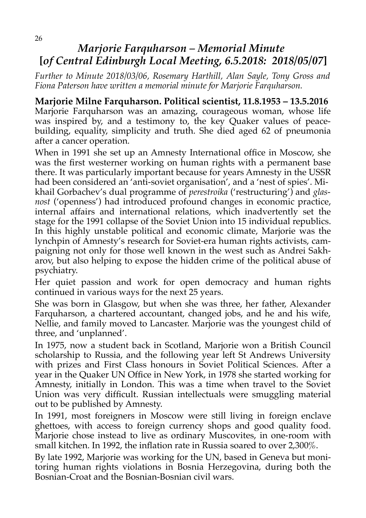### *Marjorie Farquharson – Memorial Minute*  **[***of Central Edinburgh Local Meeting, 6.5.2018: 2018/05/07***]**

*Further to Minute 2018/03/06, Rosemary Harthill, Alan Sayle, Tony Gross and Fiona Paterson have written a memorial minute for Marjorie Farquharson.*

#### **Marjorie Milne Farquharson. Political scientist, 11.8.1953 – 13.5.2016**

Marjorie Farquharson was an amazing, courageous woman, whose life was inspired by, and a testimony to, the key Quaker values of peacebuilding, equality, simplicity and truth. She died aged 62 of pneumonia after a cancer operation.

When in 1991 she set up an Amnesty International office in Moscow, she was the first westerner working on human rights with a permanent base there. It was particularly important because for years Amnesty in the USSR had been considered an 'anti-soviet organisation', and a 'nest of spies'. Mikhail Gorbachev's dual programme of *perestroika* ('restructuring') and *glasnost* ('openness') had introduced profound changes in economic practice, internal affairs and international relations, which inadvertently set the stage for the 1991 collapse of the Soviet Union into 15 individual republics. In this highly unstable political and economic climate, Marjorie was the lynchpin of Amnesty's research for Soviet-era human rights activists, campaigning not only for those well known in the west such as Andrei Sakharov, but also helping to expose the hidden crime of the political abuse of psychiatry.

Her quiet passion and work for open democracy and human rights continued in various ways for the next 25 years.

She was born in Glasgow, but when she was three, her father, Alexander Farquharson, a chartered accountant, changed jobs, and he and his wife, Nellie, and family moved to Lancaster. Marjorie was the youngest child of three, and 'unplanned'.

In 1975, now a student back in Scotland, Marjorie won a British Council scholarship to Russia, and the following year left St Andrews University with prizes and First Class honours in Soviet Political Sciences. After a year in the Quaker UN Office in New York, in 1978 she started working for Amnesty, initially in London. This was a time when travel to the Soviet Union was very difficult. Russian intellectuals were smuggling material out to be published by Amnesty.

In 1991, most foreigners in Moscow were still living in foreign enclave ghettoes, with access to foreign currency shops and good quality food. Marjorie chose instead to live as ordinary Muscovites, in one-room with small kitchen. In 1992, the inflation rate in Russia soared to over 2,300%.

By late 1992, Marjorie was working for the UN, based in Geneva but monitoring human rights violations in Bosnia Herzegovina, during both the Bosnian-Croat and the Bosnian-Bosnian civil wars.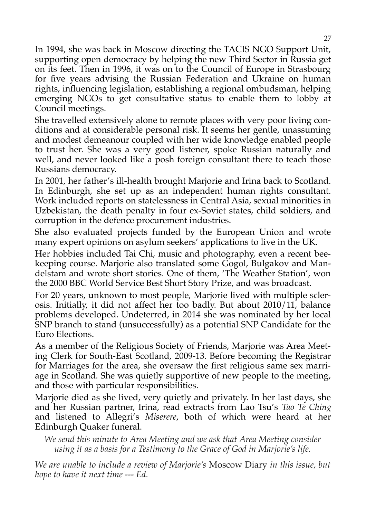In 1994, she was back in Moscow directing the TACIS NGO Support Unit, supporting open democracy by helping the new Third Sector in Russia get on its feet. Then in 1996, it was on to the Council of Europe in Strasbourg for five years advising the Russian Federation and Ukraine on human rights, influencing legislation, establishing a regional ombudsman, helping emerging NGOs to get consultative status to enable them to lobby at Council meetings.

She travelled extensively alone to remote places with very poor living conditions and at considerable personal risk. It seems her gentle, unassuming and modest demeanour coupled with her wide knowledge enabled people to trust her. She was a very good listener, spoke Russian naturally and well, and never looked like a posh foreign consultant there to teach those Russians democracy.

In 2001, her father's ill-health brought Marjorie and Irina back to Scotland. In Edinburgh, she set up as an independent human rights consultant. Work included reports on statelessness in Central Asia, sexual minorities in Uzbekistan, the death penalty in four ex-Soviet states, child soldiers, and corruption in the defence procurement industries.

She also evaluated projects funded by the European Union and wrote many expert opinions on asylum seekers' applications to live in the UK.

Her hobbies included Tai Chi, music and photography, even a recent beekeeping course. Marjorie also translated some Gogol, Bulgakov and Mandelstam and wrote short stories. One of them, 'The Weather Station', won the 2000 BBC World Service Best Short Story Prize, and was broadcast.

For 20 years, unknown to most people, Marjorie lived with multiple sclerosis. Initially, it did not affect her too badly. But about 2010/11, balance problems developed. Undeterred, in 2014 she was nominated by her local SNP branch to stand (unsuccessfully) as a potential SNP Candidate for the Euro Elections.

As a member of the Religious Society of Friends, Marjorie was Area Meeting Clerk for South-East Scotland, 2009-13. Before becoming the Registrar for Marriages for the area, she oversaw the first religious same sex marriage in Scotland. She was quietly supportive of new people to the meeting, and those with particular responsibilities.

Marjorie died as she lived, very quietly and privately. In her last days, she and her Russian partner, Irina, read extracts from Lao Tsu's *Tao Te Ching* and listened to Allegri's *Miserere*, both of which were heard at her Edinburgh Quaker funeral.

*We send this minute to Area Meeting and we ask that Area Meeting consider using it as a basis for a Testimony to the Grace of God in Marjorie's life.*

*We are unable to include a review of Marjorie's* Moscow Diary *in this issue, but hope to have it next time --- Ed.*